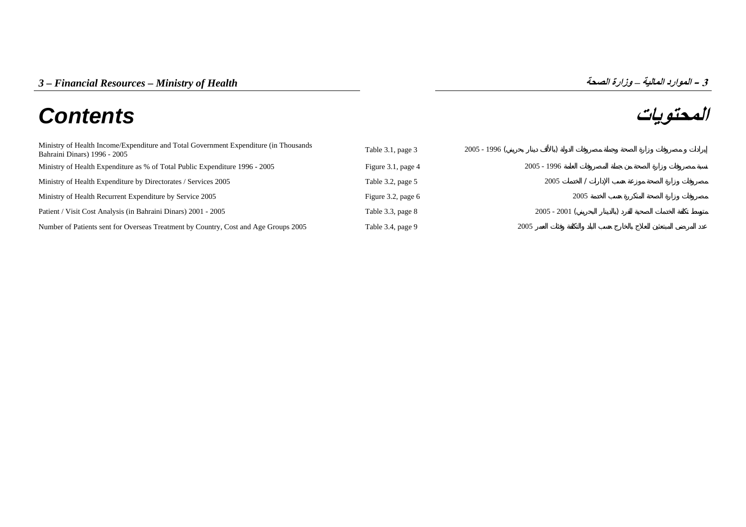# **المحتويات** *Contents*

| Ministry of Health Income/Expenditure and Total Government Expenditure (in Thousands<br>Bahraini Dinars) 1996 - 2005 | Table 3.1, page 3  | $2005 - 1996$ ( |                 |      |  |
|----------------------------------------------------------------------------------------------------------------------|--------------------|-----------------|-----------------|------|--|
| Ministry of Health Expenditure as % of Total Public Expenditure 1996 - 2005                                          | Figure 3.1, page 4 |                 | $2005 - 1996$   |      |  |
| Ministry of Health Expenditure by Directorates / Services 2005                                                       | Table 3.2, page 5  |                 | 2005            |      |  |
| Ministry of Health Recurrent Expenditure by Service 2005                                                             | Figure 3.2, page 6 |                 |                 | 2005 |  |
| Patient / Visit Cost Analysis (in Bahraini Dinars) 2001 - 2005                                                       | Table 3.3, page 8  |                 | $2005 - 2001$ ( |      |  |
| Number of Patients sent for Overseas Treatment by Country, Cost and Age Groups 2005                                  | Table 3.4, page 9  | 2005            |                 |      |  |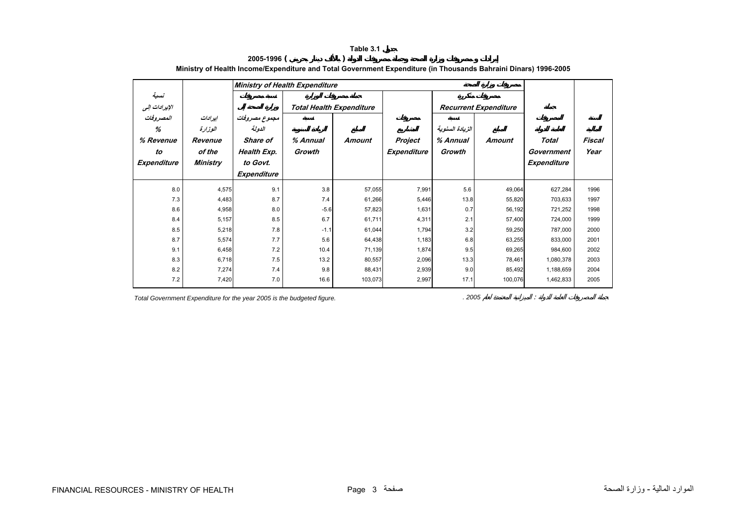<span id="page-1-0"></span>

|                       |          | <b>Ministry of Health Expenditure</b> |                                 |               |         |                              |         |             |        |
|-----------------------|----------|---------------------------------------|---------------------------------|---------------|---------|------------------------------|---------|-------------|--------|
| نسبة<br>الإيرادات إلى |          |                                       | <b>Total Health Expenditure</b> |               |         | <b>Recurrent Expenditure</b> |         |             |        |
| المصروفات             | ایرادات  | مجموع مصروفات                         |                                 |               |         |                              |         |             |        |
| %                     | الوزارة  | الدولة                                |                                 |               |         | الزيادة السنوية              |         |             |        |
| % Revenue             | Revenue  | <b>Share of</b>                       | % Annual                        | <b>Amount</b> | Project | % Annual                     | Amount  | Total       | Fiscal |
| to                    | of the   | Health Exp.                           | Growth                          | Expenditure   |         | Growth                       |         | Government  | Year   |
| Expenditure           | Ministry | to Govt.                              |                                 |               |         |                              |         | Expenditure |        |
|                       |          | Expenditure                           |                                 |               |         |                              |         |             |        |
| 8.0                   | 4,575    | 9.1                                   | 3.8                             | 57,055        | 7,991   | 5.6                          | 49,064  | 627,284     | 1996   |
| 7.3                   | 4,483    | 8.7                                   | 7.4                             | 61,266        | 5,446   | 13.8                         | 55,820  | 703,633     | 1997   |
| 8.6                   | 4,958    | 8.0                                   | $-5.6$                          | 57,823        | 1,631   | 0.7                          | 56,192  | 721,252     | 1998   |
| 8.4                   | 5,157    | 8.5                                   | 6.7                             | 61,711        | 4,311   | 2.1                          | 57,400  | 724,000     | 1999   |
| 8.5                   | 5,218    | 7.8                                   | $-1.1$                          | 61,044        | 1,794   | 3.2                          | 59,250  | 787,000     | 2000   |
| 8.7                   | 5,574    | 7.7                                   | 5.6                             | 64,438        | 1,183   | 6.8                          | 63,255  | 833,000     | 2001   |
| 9.1                   | 6,458    | 7.2                                   | 10.4                            | 71,139        | 1,874   | 9.5                          | 69,265  | 984,600     | 2002   |
| 8.3                   | 6,718    | 7.5                                   | 13.2                            | 80,557        | 2,096   | 13.3                         | 78,461  | 1,080,378   | 2003   |
| 8.2                   | 7,274    | 7.4                                   | 9.8                             | 88,431        | 2,939   | 9.0                          | 85,492  | 1,188,659   | 2004   |
| 7.2                   | 7,420    | 7.0                                   | 16.6                            | 103,073       | 2,997   | 17.1                         | 100,076 | 1,462,833   | 2005   |

|           | Table 3.1                                                                                                       |
|-----------|-----------------------------------------------------------------------------------------------------------------|
| 2005-1996 |                                                                                                                 |
|           | Ministrv of Health Income/Expenditure and Total Government Expenditure (in Thousands Bahraini Dinars) 1996-2005 |

*Total Government Expenditure for the year 2005 is the budgeted figure. . 2005* :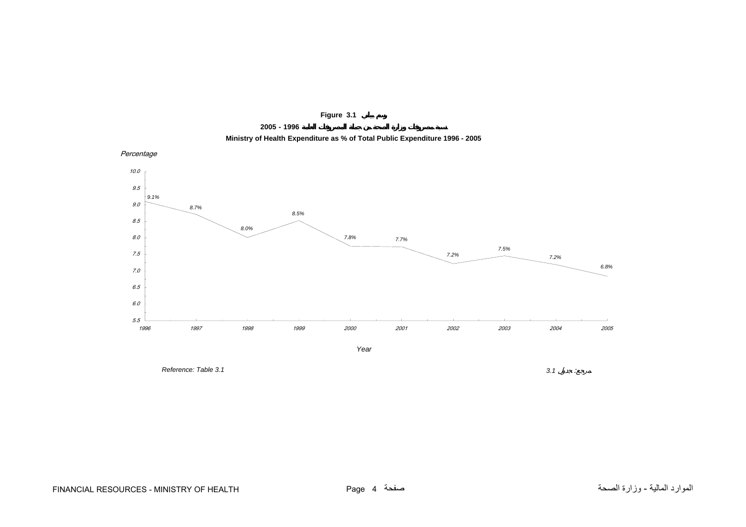

**2005 - 1996**



<span id="page-2-0"></span>Percentage



*Reference: Table 3.13.1*

 $3.1$  :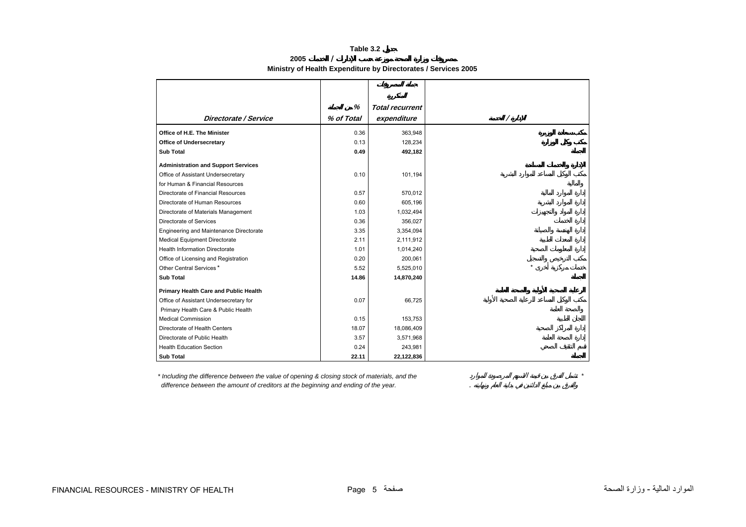## **Table 3.2**

**2005 / Ministry of Health Expenditure by Directorates / Services 2005** 

<span id="page-3-0"></span>

|                                            | %          |                        |
|--------------------------------------------|------------|------------------------|
|                                            |            | <b>Total recurrent</b> |
| Directorate / Service                      | % of Total | expenditure            |
| Office of H.E. The Minister                | 0.36       | 363,948                |
| <b>Office of Undersecretary</b>            | 0.13       | 128,234                |
| <b>Sub Total</b>                           | 0.49       | 492,182                |
| <b>Administration and Support Services</b> |            |                        |
| Office of Assistant Undersecretary         | 0.10       | 101,194                |
| for Human & Financial Resources            |            |                        |
| Directorate of Financial Resources         | 0.57       | 570,012                |
| Directorate of Human Resources             | 0.60       | 605,196                |
| Directorate of Materials Management        | 1.03       | 1,032,494              |
| Directorate of Services                    | 0.36       | 356,027                |
| Engineering and Maintenance Directorate    | 3.35       | 3,354,094              |
| <b>Medical Equipment Directorate</b>       | 2.11       | 2,111,912              |
| <b>Health Information Directorate</b>      | 1.01       | 1,014,240              |
| Office of Licensing and Registration       | 0.20       | 200,061                |
| Other Central Services*                    | 5.52       | 5,525,010              |
| <b>Sub Total</b>                           | 14.86      | 14,870,240             |
| Primary Health Care and Public Health      |            |                        |
| Office of Assistant Undersecretary for     | 0.07       | 66,725                 |
| Primary Health Care & Public Health        |            |                        |
| <b>Medical Commission</b>                  | 0.15       | 153,753                |
| Directorate of Health Centers              | 18.07      | 18,086,409             |
| Directorate of Public Health               | 3.57       | 3,571,968              |
| <b>Health Education Section</b>            | 0.24       | 243,981                |
| <b>Sub Total</b>                           | 22.11      | 22,122,836             |

*\* Including the difference between the value of opening & closing stock of materials, and the \* difference between the amount of creditors at the beginning and ending of the year.* .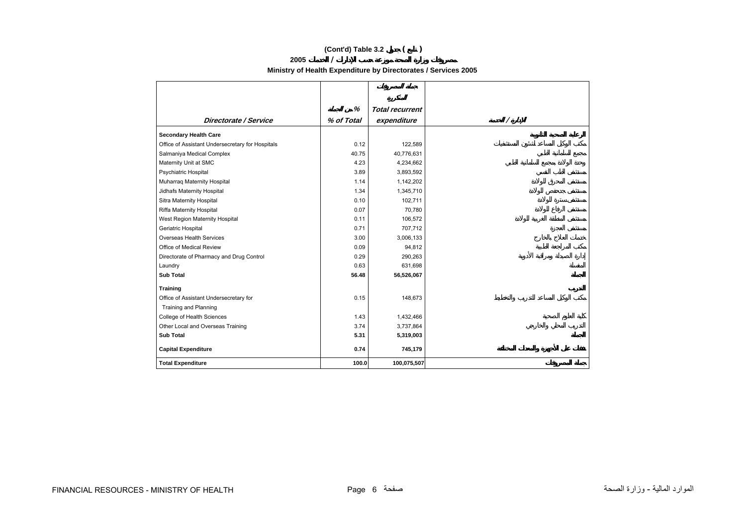# **(Cont'd) Table 3.2 ( )**

**2005 /** 

**Ministry of Health Expenditure by Directorates / Services 2005** 

<span id="page-4-0"></span>

|                                                  | %          | <b>Total recurrent</b> |   |
|--------------------------------------------------|------------|------------------------|---|
| Directorate / Service                            | % of Total | expenditure            | Ι |
| <b>Secondary Health Care</b>                     |            |                        |   |
| Office of Assistant Undersecretary for Hospitals | 0.12       | 122,589                |   |
| Salmaniya Medical Complex                        | 40.75      | 40,776,631             |   |
| Maternity Unit at SMC                            | 4.23       | 4,234,662              |   |
| <b>Psychiatric Hospital</b>                      | 3.89       | 3,893,592              |   |
| Muharraq Maternity Hospital                      | 1.14       | 1,142,202              |   |
| Jidhafs Maternity Hospital                       | 1.34       | 1,345,710              |   |
| Sitra Maternity Hospital                         | 0.10       | 102,711                |   |
| Riffa Maternity Hospital                         | 0.07       | 70,780                 |   |
| West Region Maternity Hospital                   | 0.11       | 106,572                |   |
| Geriatric Hospital                               | 0.71       | 707,712                |   |
| <b>Overseas Health Services</b>                  | 3.00       | 3,006,133              |   |
| Office of Medical Review                         | 0.09       | 94,812                 |   |
| Directorate of Pharmacy and Drug Control         | 0.29       | 290,263                |   |
| Laundry                                          | 0.63       | 631,698                |   |
| <b>Sub Total</b>                                 | 56.48      | 56,526,067             |   |
| <b>Training</b>                                  |            |                        |   |
| Office of Assistant Undersecretary for           | 0.15       | 148,673                |   |
| <b>Training and Planning</b>                     |            |                        |   |
| College of Health Sciences                       | 1.43       | 1,432,466              |   |
| Other Local and Overseas Training                | 3.74       | 3,737,864              |   |
| <b>Sub Total</b>                                 | 5.31       | 5,319,003              |   |
| <b>Capital Expenditure</b>                       | 0.74       | 745,179                |   |
| <b>Total Expenditure</b>                         | 100.0      | 100,075,507            |   |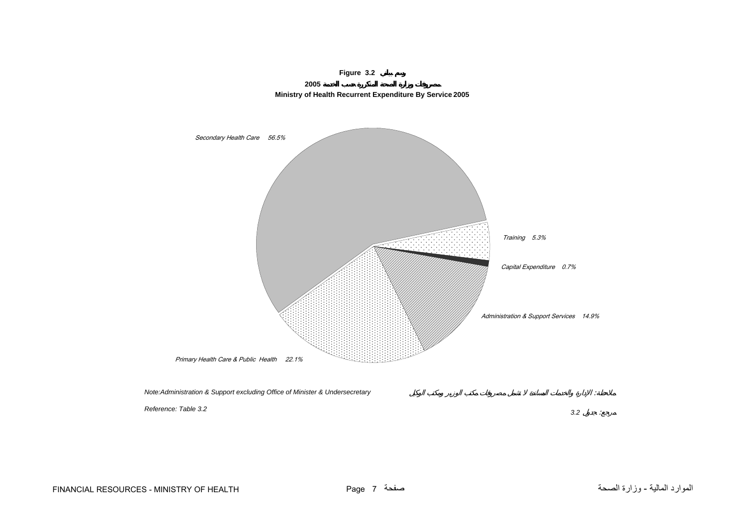

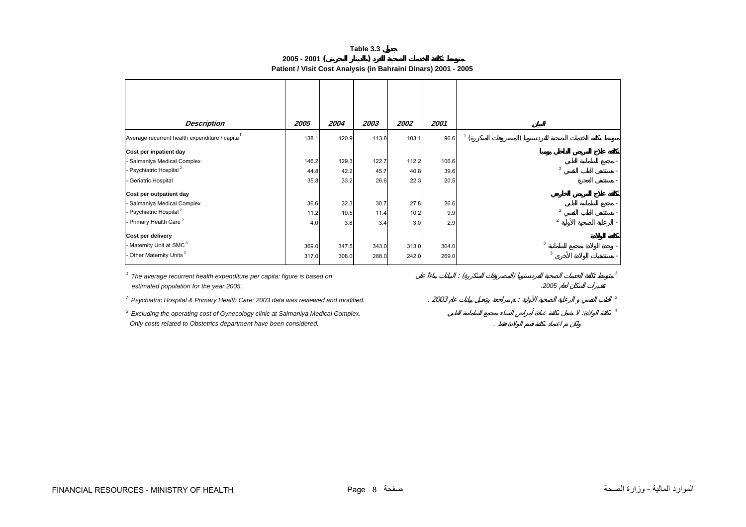**Table 3.3 2005 - 2001 ( ) Patient / Visit Cost Analysis (in Bahraini Dinars) 2001 - 2005** 

<span id="page-6-0"></span>

| <b>Description</b>                                                                                                 | 2005  | 2004         | 2003  | 2002  | 2001  |  |                |  |
|--------------------------------------------------------------------------------------------------------------------|-------|--------------|-------|-------|-------|--|----------------|--|
| Average recurrent health expenditure / capita <sup>1</sup>                                                         | 138.1 | 120.9        | 113.8 | 103.1 | 96.6  |  |                |  |
| Cost per inpatient day                                                                                             |       |              |       |       |       |  |                |  |
| - Salmaniya Medical Complex                                                                                        | 146.2 | 129.3        | 122.7 | 112.2 | 106.6 |  |                |  |
| - Psychiatric Hospital <sup>2</sup>                                                                                | 44.8  | 42.2         | 45.7  | 40.8  | 39.6  |  | $\overline{2}$ |  |
| - Geriatric Hospital                                                                                               | 35.8  | 33.2         | 26.6  | 22.3  | 20.5  |  |                |  |
| Cost per outpatient day                                                                                            |       |              |       |       |       |  |                |  |
| - Salmaniya Medical Complex                                                                                        | 36.6  | 32.3         | 30.7  | 27.8  | 26.6  |  |                |  |
| - Psychiatric Hospital <sup>2</sup>                                                                                | 11.2  | 10.5         | 11.4  | 10.2  | 9.9   |  | $\overline{2}$ |  |
| - Primary Health Care <sup>2</sup>                                                                                 | 4.0   | 3.8          | 3.4   | 3.0   | 2.9   |  | $\overline{2}$ |  |
| Cost per delivery                                                                                                  |       |              |       |       |       |  |                |  |
| - Maternity Unit at SMC <sup>3</sup>                                                                               | 369.0 | 347.5        | 343.0 | 313.0 | 304.0 |  | 3              |  |
| - Other Maternity Units <sup>3</sup>                                                                               | 317.0 | 308.0        | 288.0 | 242.0 | 269.0 |  | 3              |  |
|                                                                                                                    |       | $\therefore$ |       |       |       |  |                |  |
| The average recurrent health expenditure per capita: figure is based on<br>estimated population for the year 2005. |       |              |       | .2005 |       |  |                |  |
| <sup>2</sup> Psychiatric Hospital & Primary Health Care: 2003 data was reviewed and modified.                      | .2003 |              |       | 2     |       |  |                |  |

*3 Excluding the operating cost of Gynecology clinic at Salmaniya Medical Complex.* : *<sup>3</sup> Only costs related to Obstetrics department have been considered.* .